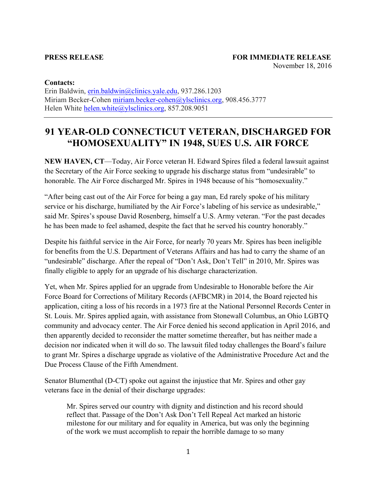## **Contacts:**

Erin Baldwin, erin.baldwin@clinics.yale.edu, 937.286.1203 Miriam Becker-Cohen miriam.becker-cohen@ylsclinics.org, 908.456.3777 Helen White helen.white@ylsclinics.org, 857.208.9051

## **91 YEAR-OLD CONNECTICUT VETERAN, DISCHARGED FOR "HOMOSEXUALITY" IN 1948, SUES U.S. AIR FORCE**

**NEW HAVEN, CT**—Today, Air Force veteran H. Edward Spires filed a federal lawsuit against the Secretary of the Air Force seeking to upgrade his discharge status from "undesirable" to honorable. The Air Force discharged Mr. Spires in 1948 because of his "homosexuality."

"After being cast out of the Air Force for being a gay man, Ed rarely spoke of his military service or his discharge, humiliated by the Air Force's labeling of his service as undesirable," said Mr. Spires's spouse David Rosenberg, himself a U.S. Army veteran. "For the past decades he has been made to feel ashamed, despite the fact that he served his country honorably."

Despite his faithful service in the Air Force, for nearly 70 years Mr. Spires has been ineligible for benefits from the U.S. Department of Veterans Affairs and has had to carry the shame of an "undesirable" discharge. After the repeal of "Don't Ask, Don't Tell" in 2010, Mr. Spires was finally eligible to apply for an upgrade of his discharge characterization.

Yet, when Mr. Spires applied for an upgrade from Undesirable to Honorable before the Air Force Board for Corrections of Military Records (AFBCMR) in 2014, the Board rejected his application, citing a loss of his records in a 1973 fire at the National Personnel Records Center in St. Louis. Mr. Spires applied again, with assistance from Stonewall Columbus, an Ohio LGBTQ community and advocacy center. The Air Force denied his second application in April 2016, and then apparently decided to reconsider the matter sometime thereafter, but has neither made a decision nor indicated when it will do so. The lawsuit filed today challenges the Board's failure to grant Mr. Spires a discharge upgrade as violative of the Administrative Procedure Act and the Due Process Clause of the Fifth Amendment.

Senator Blumenthal (D-CT) spoke out against the injustice that Mr. Spires and other gay veterans face in the denial of their discharge upgrades:

Mr. Spires served our country with dignity and distinction and his record should reflect that. Passage of the Don't Ask Don't Tell Repeal Act marked an historic milestone for our military and for equality in America, but was only the beginning of the work we must accomplish to repair the horrible damage to so many